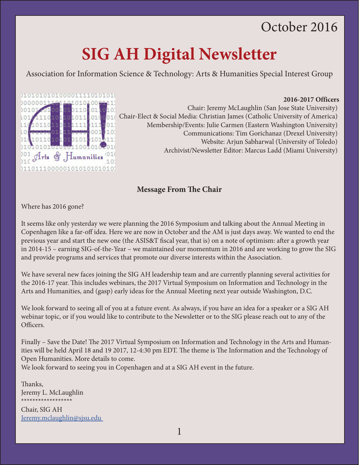# October 2016

# **SIG AH Digital Newsletter**

Association for Information Science & Technology: Arts & Humanities Special Interest Group



**2016-2017 Officers** Chair: Jeremy McLaughlin (San Jose State University) Lo1011 010001 Chair-Elect & Social Media: Christian James (Catholic University of America) Membership/Events: Julie Carmen (Eastern Washington University) Communications: Tim Gorichanaz (Drexel University) Website: Arjun Sabharwal (University of Toledo) Archivist/Newsletter Editor: Marcus Ladd (Miami University)

## **Message From The Chair**

Where has 2016 gone?

It seems like only yesterday we were planning the 2016 Symposium and talking about the Annual Meeting in Copenhagen like a far-off idea. Here we are now in October and the AM is just days away. We wanted to end the previous year and start the new one (the ASIS&T fiscal year, that is) on a note of optimism: after a growth year in 2014-15 – earning SIG-of-the-Year – we maintained our momentum in 2016 and are working to grow the SIG and provide programs and services that promote our diverse interests within the Association.

We have several new faces joining the SIG AH leadership team and are currently planning several activities for the 2016-17 year. This includes webinars, the 2017 Virtual Symposium on Information and Technology in the Arts and Humanities, and (gasp) early ideas for the Annual Meeting next year outside Washington, D.C.

We look forward to seeing all of you at a future event. As always, if you have an idea for a speaker or a SIG AH webinar topic, or if you would like to contribute to the Newsletter or to the SIG please reach out to any of the Officers.

Finally – Save the Date! The 2017 Virtual Symposium on Information and Technology in the Arts and Humanities will be held April 18 and 19 2017, 12-4:30 pm EDT. The theme is The Information and the Technology of Open Humanities. More details to come.

We look forward to seeing you in Copenhagen and at a SIG AH event in the future.

Thanks, Jeremy L. McLaughlin \*\*\*\*\*\*\*\*\*\*\*\*\*\*\*\*\*\*

Chair, SIG AH [Jeremy.mclaughlin@sjsu.edu](mailto:Jeremy.mclaughlin@sjsu.edu) 

1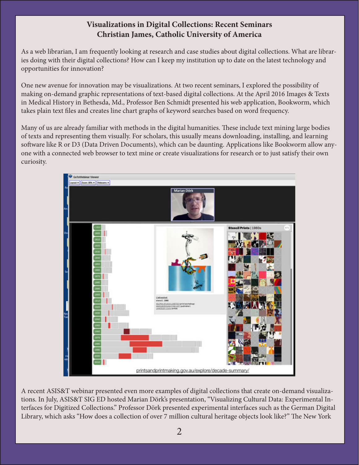# **Visualizations in Digital Collections: Recent Seminars Christian James, Catholic University of America**

As a web librarian, I am frequently looking at research and case studies about digital collections. What are libraries doing with their digital collections? How can I keep my institution up to date on the latest technology and opportunities for innovation?

One new avenue for innovation may be visualizations. At two recent seminars, I explored the possibility of making on-demand graphic representations of text-based digital collections. At the April 2016 Images & Texts in Medical History in Bethesda, Md., Professor Ben Schmidt presented his web application, Bookworm, which takes plain text files and creates line chart graphs of keyword searches based on word frequency.

Many of us are already familiar with methods in the digital humanities. These include text mining large bodies of texts and representing them visually. For scholars, this usually means downloading, installing, and learning software like R or D3 (Data Driven Documents), which can be daunting. Applications like Bookworm allow anyone with a connected web browser to text mine or create visualizations for research or to just satisfy their own curiosity.



A recent ASIS&T webinar presented even more examples of digital collections that create on-demand visualizations. In July, ASIS&T SIG ED hosted Marian Dörk's presentation, "Visualizing Cultural Data: Experimental Interfaces for Digitized Collections." Professor Dörk presented experimental interfaces such as the German Digital Library, which asks "How does a collection of over 7 million cultural heritage objects look like?" The New York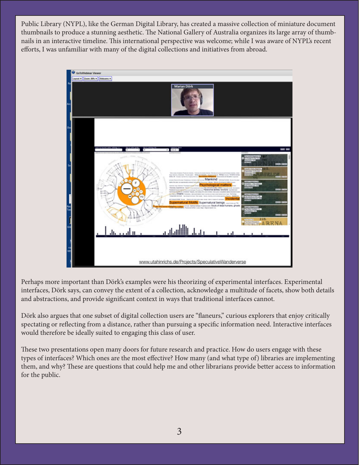Public Library (NYPL), like the German Digital Library, has created a massive collection of miniature document thumbnails to produce a stunning aesthetic. The National Gallery of Australia organizes its large array of thumbnails in an interactive timeline. This international perspective was welcome; while I was aware of NYPL's recent efforts, I was unfamiliar with many of the digital collections and initiatives from abroad.



Perhaps more important than Dörk's examples were his theorizing of experimental interfaces. Experimental interfaces, Dörk says, can convey the extent of a collection, acknowledge a multitude of facets, show both details and abstractions, and provide significant context in ways that traditional interfaces cannot.

Dörk also argues that one subset of digital collection users are "flaneurs," curious explorers that enjoy critically spectating or reflecting from a distance, rather than pursuing a specific information need. Interactive interfaces would therefore be ideally suited to engaging this class of user.

These two presentations open many doors for future research and practice. How do users engage with these types of interfaces? Which ones are the most effective? How many (and what type of) libraries are implementing them, and why? These are questions that could help me and other librarians provide better access to information for the public.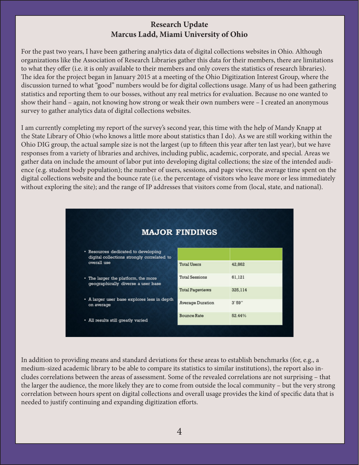# **Research Update Marcus Ladd, Miami University of Ohio**

For the past two years, I have been gathering analytics data of digital collections websites in Ohio. Although organizations like the Association of Research Libraries gather this data for their members, there are limitations to what they offer (i.e. it is only available to their members and only covers the statistics of research libraries). The idea for the project began in January 2015 at a meeting of the Ohio Digitization Interest Group, where the discussion turned to what "good" numbers would be for digital collections usage. Many of us had been gathering statistics and reporting them to our bosses, without any real metrics for evaluation. Because no one wanted to show their hand – again, not knowing how strong or weak their own numbers were – I created an anonymous survey to gather analytics data of digital collections websites.

I am currently completing my report of the survey's second year, this time with the help of Mandy Knapp at the State Library of Ohio (who knows a little more about statistics than I do). As we are still working within the Ohio DIG group, the actual sample size is not the largest (up to fifteen this year after ten last year), but we have responses from a variety of libraries and archives, including public, academic, corporate, and special. Areas we gather data on include the amount of labor put into developing digital collections; the size of the intended audience (e.g. student body population); the number of users, sessions, and page views; the average time spent on the digital collections website and the bounce rate (i.e. the percentage of visitors who leave more or less immediately without exploring the site); and the range of IP addresses that visitors come from (local, state, and national).

| <b>MAJOR FINDINGS</b>                                                                            |                         |         |
|--------------------------------------------------------------------------------------------------|-------------------------|---------|
| • Resources dedicated to developing<br>digital collections strongly correlated to<br>overall use | <b>Total Users</b>      | 42,862  |
|                                                                                                  |                         |         |
| • The larger the platform, the more<br>geographically diverse a user base                        | <b>Total Sessions</b>   | 61,121  |
|                                                                                                  | <b>Total Pageviews</b>  | 325,114 |
| • A larger user base explores less in depth<br>on average                                        | <b>Average Duration</b> | 3'59"   |
| • All results still greatly varied                                                               | <b>Bounce Rate</b>      | 52.44%  |

In addition to providing means and standard deviations for these areas to establish benchmarks (for, e.g., a medium-sized academic library to be able to compare its statistics to similar institutions), the report also includes correlations between the areas of assessment. Some of the revealed correlations are not surprising – that the larger the audience, the more likely they are to come from outside the local community – but the very strong correlation between hours spent on digital collections and overall usage provides the kind of specific data that is needed to justify continuing and expanding digitization efforts.